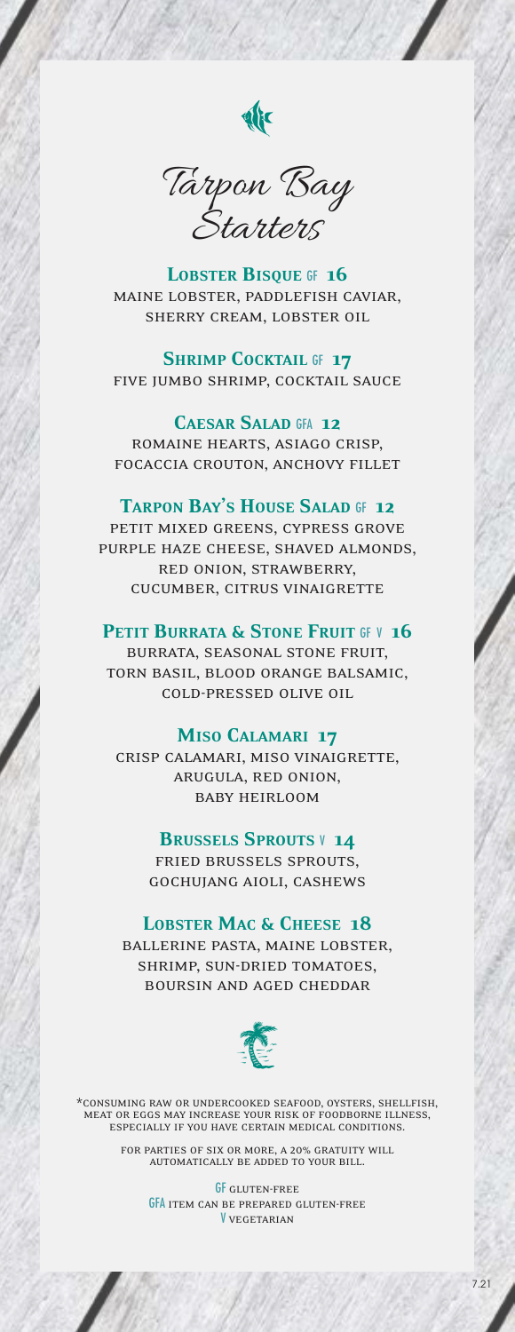

Tarpon Bay **Starters** 

LOBSTER BISQUE GF 16 maine lobster, paddlefish caviar, sherry cream, lobster oil

### SHRIMP COCKTAIL GF 17

five jumbo shrimp, cocktail sauce

## Caesar Salad GFA 12

romaine hearts, asiago crisp, focaccia crouton, anchovy fillet

#### TARPON BAY'S HOUSE SALAD GF 12

petit mixed greens, cypress grove purple haze cheese, shaved almonds, red onion, strawberry, cucumber, citrus vinaigrette

### PETIT BURRATA & STONE FRUIT GF V 16

burrata, seasonal stone fruit, torn basil, blood orange balsamic, cold-pressed olive oil

### Miso Calamari 17

crisp calamari, miso vinaigrette, arugula, red onion, baby heirloom

#### BRUSSELS SPROUTS V 14

fried brussels sprouts, gochujang aioli, cashews

#### LOBSTER MAC & CHEESE 18

ballerine pasta, maine lobster, shrimp, sun-dried tomatoes, boursin and aged cheddar



\*consuming raw or undercooked seafood, oysters, shellfish, meat or eggs may increase your risk of foodborne illness, especially if you have certain medical conditions.

for parties of six or more, a 20% gratuity will automatically be added to your bill.

**GF** GLUTEN-FREE GFA item can be prepared gluten-free V vegetarian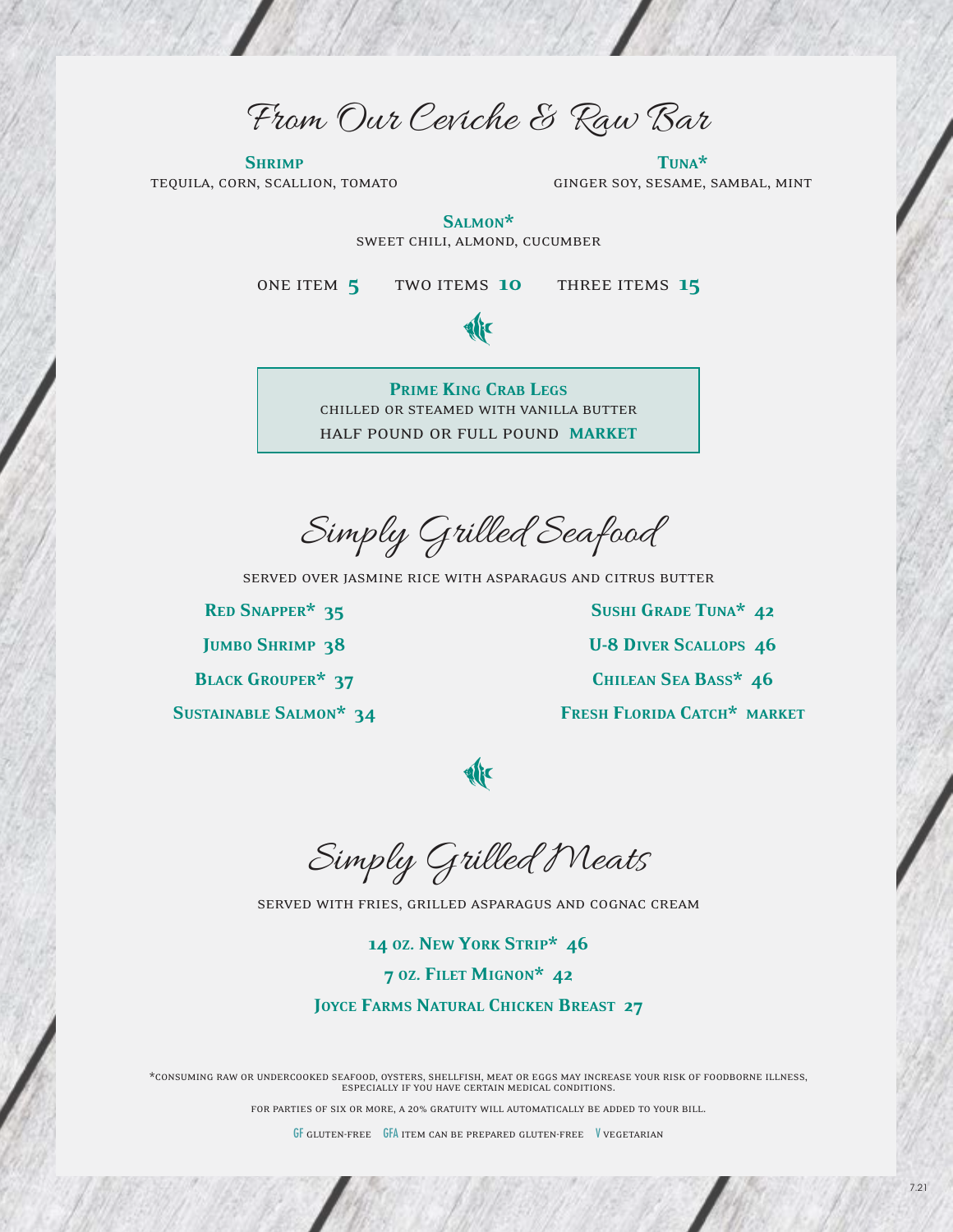From Our Ceviche & Raw Bar

**SHRIMP** tequila, corn, scallion, tomato

Tuna\* ginger soy, sesame, sambal, mint

Salmon\* sweet chili, almond, cucumber

ONE ITEM 5 TWO ITEMS 10 THREE ITEMS 15



Prime King Crab Legs chilled or steamed with vanilla butter half pound or full pound market

Simply Grilled Seafood

served over jasmine rice with asparagus and citrus butter

Red Snapper\* 35 JUMBO SHRIMP 38 Black Grouper\* 37 Sustainable Salmon\* 34

Sushi Grade Tuna\* 42 U-8 Diver Scallops 46 Chilean Sea Bass\* 46 FRESH FLORIDA CATCH\* MARKET

**Alic** 

Simply Grilled Meats

served with fries, grilled asparagus and cognac cream

14 oz. New York Strip\* 46 7 oz. Filet Mignon\* 42

JOYCE FARMS NATURAL CHICKEN BREAST 27

\*consuming raw or undercooked seafood, oysters, shellfish, meat or eggs may increase your risk of foodborne illness, especially if you have certain medical conditions.

for parties of six or more, a 20% gratuity will automatically be added to your bill.

GF gluten-free GFA item can be prepared gluten-free V vegetarian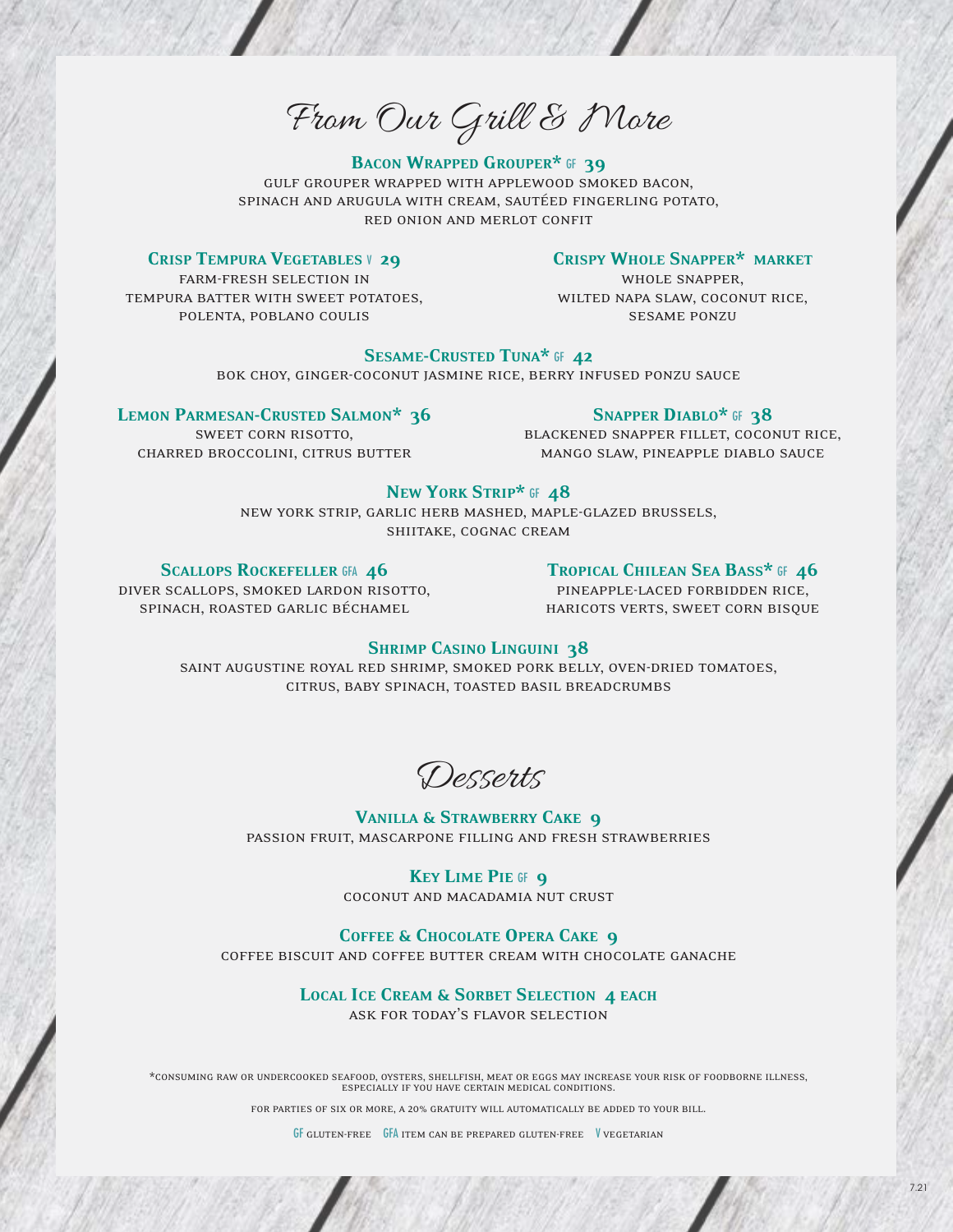From Our Grill & More

# BACON WRAPPED GROUPER\* GF 39

gulf grouper wrapped with applewood smoked bacon, spinach and arugula with cream, sautéed fingerling potato, red onion and merlot confit

### CRISP TEMPURA VEGETABLES V 29

# Crispy Whole Snapper\* market

farm-fresh selection in tempura batter with sweet potatoes, polenta, poblano coulis

whole snapper, wilted napa slaw, coconut rice, sesame ponzu

# SESAME-CRUSTED TUNA\* GF 42

bok choy, ginger-coconut jasmine rice, berry infused ponzu sauce

#### LEMON PARMESAN-CRUSTED SALMON\* 36

sweet corn risotto, charred broccolini, citrus butter

## SNAPPER DIABLO\* GF 38

blackened snapper fillet, coconut rice, mango slaw, pineapple diablo sauce

## NEW YORK STRIP\* GF 48

new york strip, garlic herb mashed, maple-glazed brussels, shiitake, cognac cream

### SCALLOPS ROCKEFELLER GFA 46

diver scallops, smoked lardon risotto, spinach, roasted garlic béchamel

# TROPICAL CHILEAN SEA BASS\* GF 46

pineapple-laced forbidden rice, haricots verts, sweet corn bisque

# SHRIMP CASINO LINGUINI 38

saint augustine royal red shrimp, smoked pork belly, oven-dried tomatoes, citrus, baby spinach, toasted basil breadcrumbs

Desserts

### VANILLA & STRAWBERRY CAKE 9 passion fruit, mascarpone filling and fresh strawberries

KEY LIME PIE GF 9 coconut and macadamia nut crust

#### COFFEE & CHOCOLATE OPERA CAKE 9

coffee biscuit and coffee butter cream with chocolate ganache

# LOCAL ICE CREAM & SORBET SELECTION 4 EACH

ask for today's flavor selection

\*consuming raw or undercooked seafood, oysters, shellfish, meat or eggs may increase your risk of foodborne illness, especially if you have certain medical conditions.

for parties of six or more, a 20% gratuity will automatically be added to your bill.

GF gluten-free GFA item can be prepared gluten-free V vegetarian